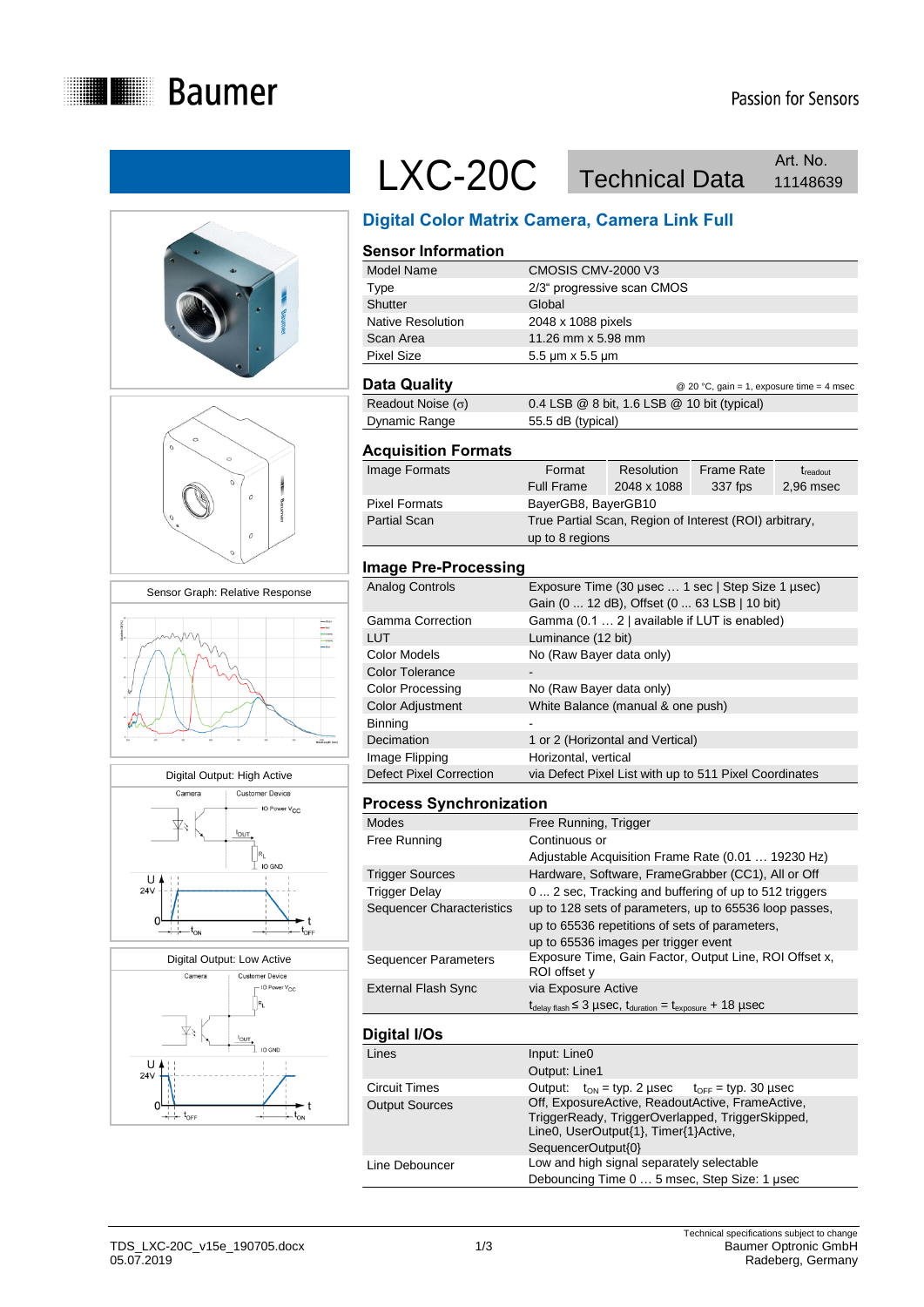











# LXC-20C Technical Data 11148639 Art. No.

## **Digital Color Matrix Camera, Camera Link Full**

#### **Sensor Information** Model Name CMOSIS CMV-2000 V3 Type 2/3" progressive scan CMOS Shutter Global Native Resolution 2048 x 1088 pixels Scan Area 11.26 mm x 5.98 mm Pixel Size 5.5 μm x 5.5 μm

**Data Quality Data Guality Data Cuality C** 20 °C, gain = 1, exposure time = 4 msec Readout Noise  $(\sigma)$  0.4 LSB @ 8 bit, 1.6 LSB @ 10 bit (typical) Dynamic Range 55.5 dB (typical)

#### **Acquisition Formats**

| Image Formats        | Format                                                 | Resolution  | <b>Frame Rate</b> | $t_{\rm readout}$ |
|----------------------|--------------------------------------------------------|-------------|-------------------|-------------------|
|                      | <b>Full Frame</b>                                      | 2048 x 1088 | 337 fps           | 2,96 msec         |
| <b>Pixel Formats</b> | BayerGB8, BayerGB10                                    |             |                   |                   |
| <b>Partial Scan</b>  | True Partial Scan, Region of Interest (ROI) arbitrary, |             |                   |                   |
|                      | up to 8 regions                                        |             |                   |                   |

#### **Image Pre-Processing**

| Analog Controls                | Exposure Time (30 usec  1 sec   Step Size 1 usec)<br>Gain (0  12 dB), Offset (0  63 LSB   10 bit) |
|--------------------------------|---------------------------------------------------------------------------------------------------|
| Gamma Correction               | Gamma (0.1  2   available if LUT is enabled)                                                      |
| LUT                            | Luminance (12 bit)                                                                                |
| Color Models                   | No (Raw Bayer data only)                                                                          |
| Color Tolerance                |                                                                                                   |
| Color Processing               | No (Raw Bayer data only)                                                                          |
| Color Adjustment               | White Balance (manual & one push)                                                                 |
| Binning                        |                                                                                                   |
| Decimation                     | 1 or 2 (Horizontal and Vertical)                                                                  |
| Image Flipping                 | Horizontal, vertical                                                                              |
| <b>Defect Pixel Correction</b> | via Defect Pixel List with up to 511 Pixel Coordinates                                            |

#### **Process Synchronization**

| Modes                            | Free Running, Trigger                                                                                            |
|----------------------------------|------------------------------------------------------------------------------------------------------------------|
| Free Running                     | Continuous or                                                                                                    |
|                                  | Adjustable Acquisition Frame Rate (0.01  19230 Hz)                                                               |
| <b>Trigger Sources</b>           | Hardware, Software, FrameGrabber (CC1), All or Off                                                               |
| Trigger Delay                    | 0  2 sec, Tracking and buffering of up to 512 triggers                                                           |
| <b>Sequencer Characteristics</b> | up to 128 sets of parameters, up to 65536 loop passes,                                                           |
|                                  | up to 65536 repetitions of sets of parameters,                                                                   |
|                                  | up to 65536 images per trigger event                                                                             |
| Sequencer Parameters             | Exposure Time, Gain Factor, Output Line, ROI Offset x,<br>ROI offset y                                           |
| <b>External Flash Sync</b>       | via Exposure Active                                                                                              |
|                                  | $t_{\text{delay flash}} \leq 3 \mu \text{sec}$ , $t_{\text{duration}} = t_{\text{exposure}} + 18 \mu \text{sec}$ |
|                                  |                                                                                                                  |

### **Digital I/Os**

| טעוו <b>ומו וו</b> טו |                                                                                                                                                                     |  |  |  |
|-----------------------|---------------------------------------------------------------------------------------------------------------------------------------------------------------------|--|--|--|
| Lines                 | Input: Line0                                                                                                                                                        |  |  |  |
|                       | Output: Line1                                                                                                                                                       |  |  |  |
| <b>Circuit Times</b>  | Output: $t_{ON} = typ. 2 \,\mu \sec$ $t_{OFF} = typ. 30 \,\mu \sec$                                                                                                 |  |  |  |
| <b>Output Sources</b> | Off, ExposureActive, ReadoutActive, FrameActive,<br>TriggerReady, TriggerOverlapped, TriggerSkipped,<br>Line0, UserOutput{1}, Timer{1}Active,<br>SequencerOutput{0} |  |  |  |
| Line Debouncer        | Low and high signal separately selectable<br>Debouncing Time 0  5 msec, Step Size: 1 usec                                                                           |  |  |  |
|                       |                                                                                                                                                                     |  |  |  |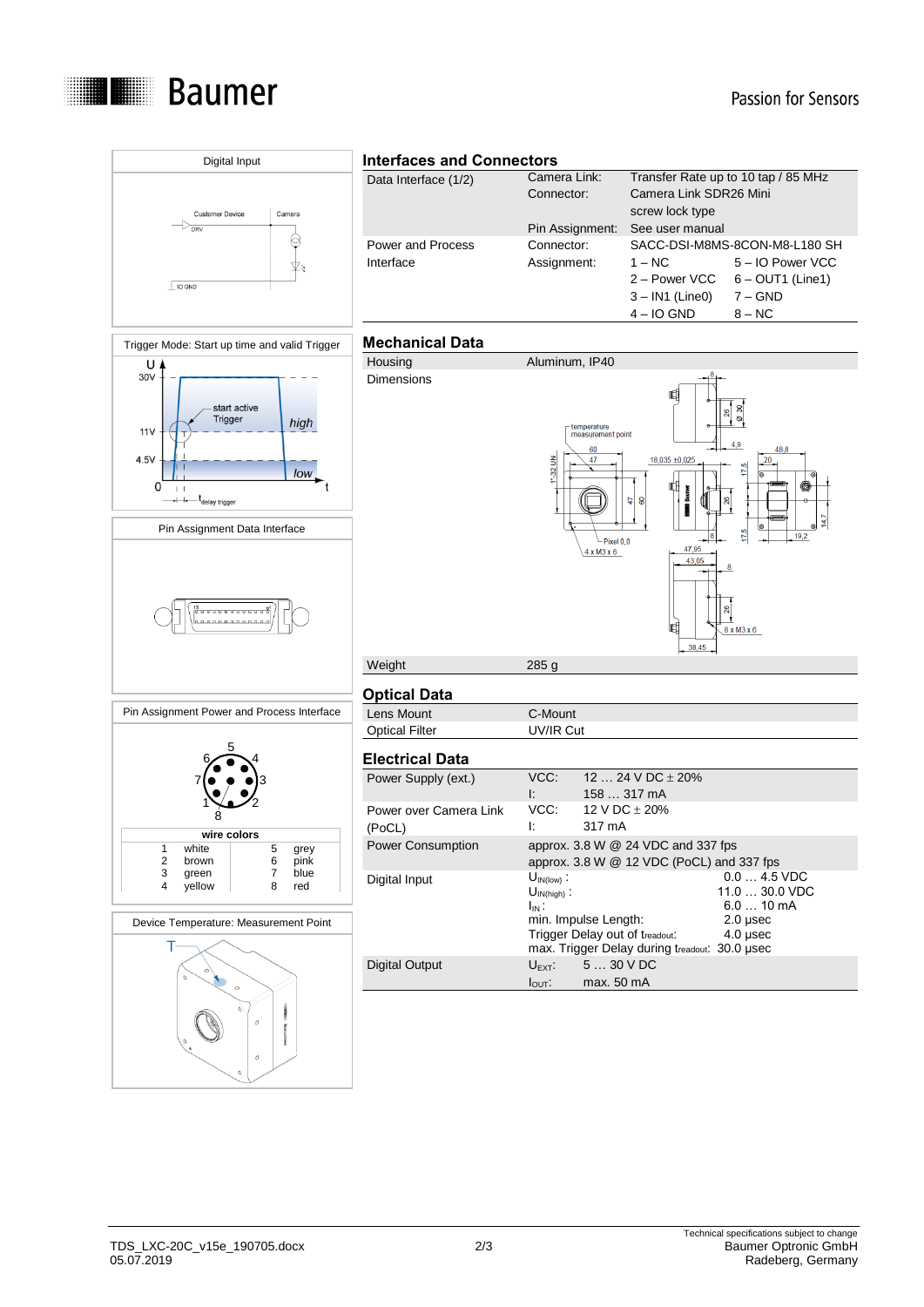